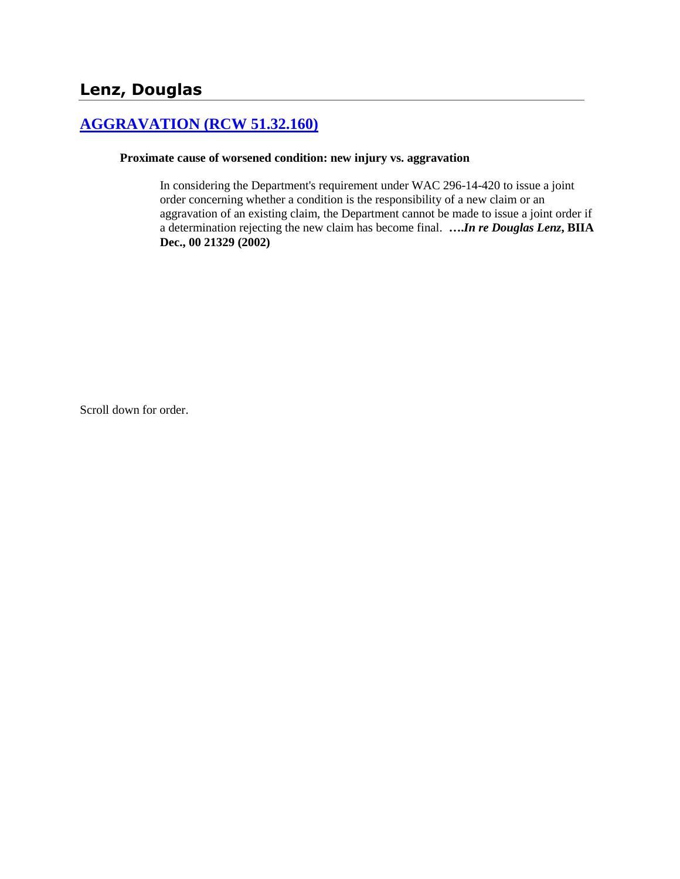# **[AGGRAVATION \(RCW 51.32.160\)](http://www.biia.wa.gov/SDSubjectIndex.html#AGGRAVATION)**

#### **Proximate cause of worsened condition: new injury vs. aggravation**

In considering the Department's requirement under WAC 296-14-420 to issue a joint order concerning whether a condition is the responsibility of a new claim or an aggravation of an existing claim, the Department cannot be made to issue a joint order if a determination rejecting the new claim has become final. **….***In re Douglas Lenz***, BIIA Dec., 00 21329 (2002)** 

Scroll down for order.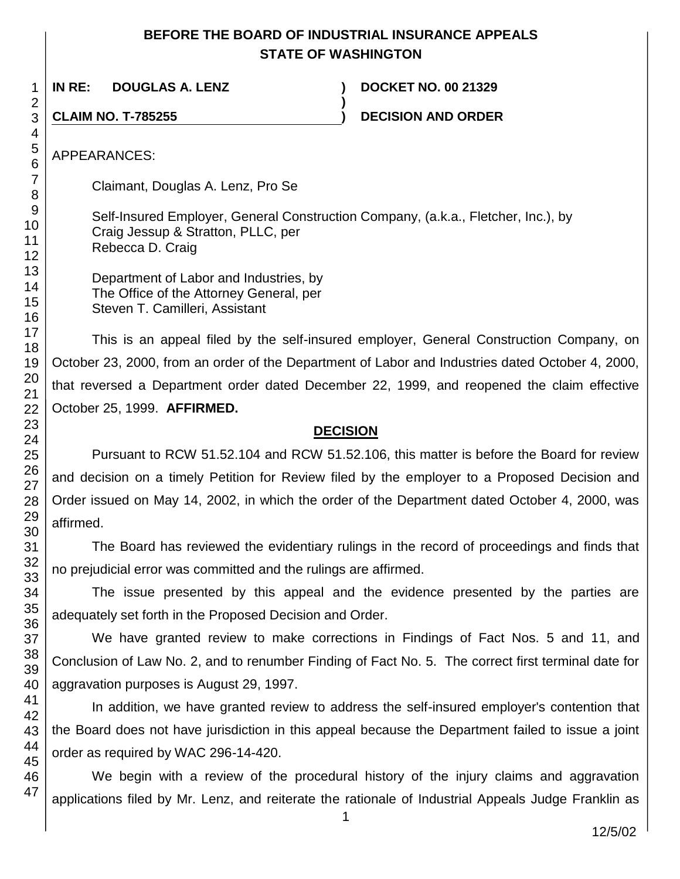# **BEFORE THE BOARD OF INDUSTRIAL INSURANCE APPEALS STATE OF WASHINGTON**

**)**

**IN RE: DOUGLAS A. LENZ ) DOCKET NO. 00 21329**

**CLAIM NO. T-785255 ) DECISION AND ORDER**

APPEARANCES:

Claimant, Douglas A. Lenz, Pro Se

Self-Insured Employer, General Construction Company, (a.k.a., Fletcher, Inc.), by Craig Jessup & Stratton, PLLC, per Rebecca D. Craig

Department of Labor and Industries, by The Office of the Attorney General, per Steven T. Camilleri, Assistant

This is an appeal filed by the self-insured employer, General Construction Company, on October 23, 2000, from an order of the Department of Labor and Industries dated October 4, 2000, that reversed a Department order dated December 22, 1999, and reopened the claim effective October 25, 1999. **AFFIRMED.**

#### **DECISION**

Pursuant to RCW 51.52.104 and RCW 51.52.106, this matter is before the Board for review and decision on a timely Petition for Review filed by the employer to a Proposed Decision and Order issued on May 14, 2002, in which the order of the Department dated October 4, 2000, was affirmed.

The Board has reviewed the evidentiary rulings in the record of proceedings and finds that no prejudicial error was committed and the rulings are affirmed.

The issue presented by this appeal and the evidence presented by the parties are adequately set forth in the Proposed Decision and Order.

We have granted review to make corrections in Findings of Fact Nos. 5 and 11, and Conclusion of Law No. 2, and to renumber Finding of Fact No. 5. The correct first terminal date for aggravation purposes is August 29, 1997.

In addition, we have granted review to address the self-insured employer's contention that the Board does not have jurisdiction in this appeal because the Department failed to issue a joint order as required by WAC 296-14-420.

We begin with a review of the procedural history of the injury claims and aggravation applications filed by Mr. Lenz, and reiterate the rationale of Industrial Appeals Judge Franklin as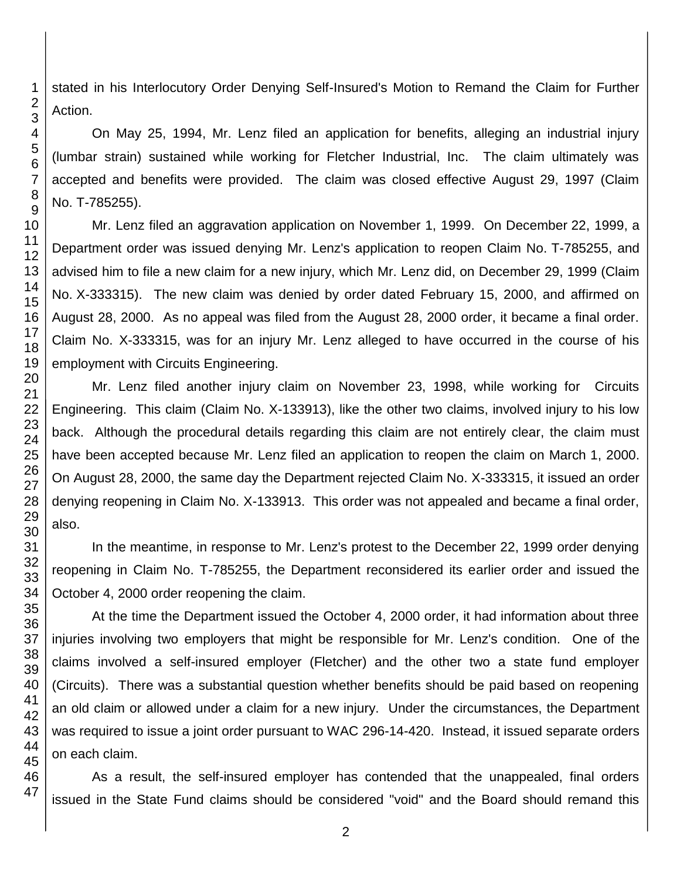47

1

stated in his Interlocutory Order Denying Self-Insured's Motion to Remand the Claim for Further Action.

On May 25, 1994, Mr. Lenz filed an application for benefits, alleging an industrial injury (lumbar strain) sustained while working for Fletcher Industrial, Inc. The claim ultimately was accepted and benefits were provided. The claim was closed effective August 29, 1997 (Claim No. T-785255).

Mr. Lenz filed an aggravation application on November 1, 1999. On December 22, 1999, a Department order was issued denying Mr. Lenz's application to reopen Claim No. T-785255, and advised him to file a new claim for a new injury, which Mr. Lenz did, on December 29, 1999 (Claim No. X-333315). The new claim was denied by order dated February 15, 2000, and affirmed on August 28, 2000. As no appeal was filed from the August 28, 2000 order, it became a final order. Claim No. X-333315, was for an injury Mr. Lenz alleged to have occurred in the course of his employment with Circuits Engineering.

Mr. Lenz filed another injury claim on November 23, 1998, while working for Circuits Engineering. This claim (Claim No. X-133913), like the other two claims, involved injury to his low back. Although the procedural details regarding this claim are not entirely clear, the claim must have been accepted because Mr. Lenz filed an application to reopen the claim on March 1, 2000. On August 28, 2000, the same day the Department rejected Claim No. X-333315, it issued an order denying reopening in Claim No. X-133913. This order was not appealed and became a final order,

In the meantime, in response to Mr. Lenz's protest to the December 22, 1999 order denying reopening in Claim No. T-785255, the Department reconsidered its earlier order and issued the October 4, 2000 order reopening the claim.

At the time the Department issued the October 4, 2000 order, it had information about three injuries involving two employers that might be responsible for Mr. Lenz's condition. One of the claims involved a self-insured employer (Fletcher) and the other two a state fund employer (Circuits). There was a substantial question whether benefits should be paid based on reopening an old claim or allowed under a claim for a new injury. Under the circumstances, the Department was required to issue a joint order pursuant to WAC 296-14-420. Instead, it issued separate orders on each claim.

As a result, the self-insured employer has contended that the unappealed, final orders issued in the State Fund claims should be considered "void" and the Board should remand this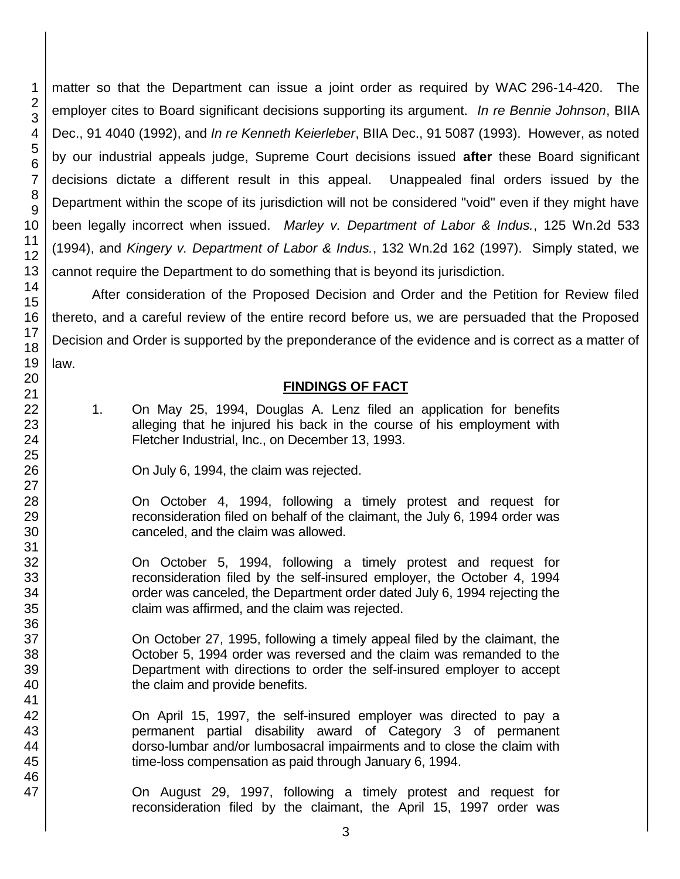matter so that the Department can issue a joint order as required by WAC 296-14-420. The employer cites to Board significant decisions supporting its argument. *In re Bennie Johnson*, BIIA Dec., 91 4040 (1992), and *In re Kenneth Keierleber*, BIIA Dec., 91 5087 (1993). However, as noted by our industrial appeals judge, Supreme Court decisions issued **after** these Board significant decisions dictate a different result in this appeal. Unappealed final orders issued by the Department within the scope of its jurisdiction will not be considered "void" even if they might have been legally incorrect when issued. *Marley v. Department of Labor & Indus.*, 125 Wn.2d 533 (1994), and *Kingery v. Department of Labor & Indus.*, 132 Wn.2d 162 (1997). Simply stated, we cannot require the Department to do something that is beyond its jurisdiction.

After consideration of the Proposed Decision and Order and the Petition for Review filed thereto, and a careful review of the entire record before us, we are persuaded that the Proposed Decision and Order is supported by the preponderance of the evidence and is correct as a matter of law.

### **FINDINGS OF FACT**

1. On May 25, 1994, Douglas A. Lenz filed an application for benefits alleging that he injured his back in the course of his employment with Fletcher Industrial, Inc., on December 13, 1993.

On July 6, 1994, the claim was rejected.

On October 4, 1994, following a timely protest and request for reconsideration filed on behalf of the claimant, the July 6, 1994 order was canceled, and the claim was allowed.

On October 5, 1994, following a timely protest and request for reconsideration filed by the self-insured employer, the October 4, 1994 order was canceled, the Department order dated July 6, 1994 rejecting the claim was affirmed, and the claim was rejected.

On October 27, 1995, following a timely appeal filed by the claimant, the October 5, 1994 order was reversed and the claim was remanded to the Department with directions to order the self-insured employer to accept the claim and provide benefits.

On April 15, 1997, the self-insured employer was directed to pay a permanent partial disability award of Category 3 of permanent dorso-lumbar and/or lumbosacral impairments and to close the claim with time-loss compensation as paid through January 6, 1994.

On August 29, 1997, following a timely protest and request for reconsideration filed by the claimant, the April 15, 1997 order was

1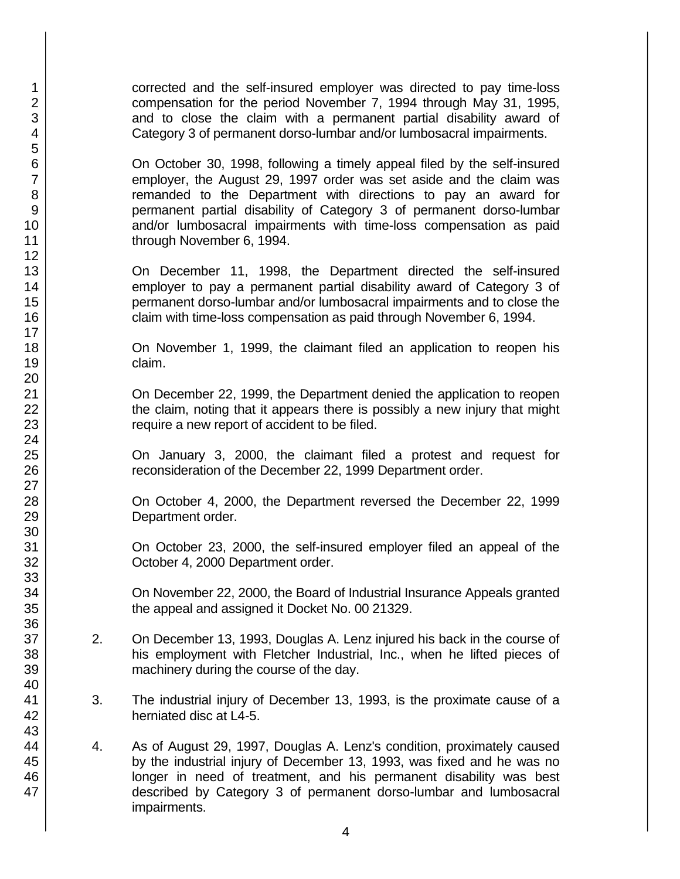corrected and the self-insured employer was directed to pay time-loss compensation for the period November 7, 1994 through May 31, 1995, and to close the claim with a permanent partial disability award of Category 3 of permanent dorso-lumbar and/or lumbosacral impairments.

On October 30, 1998, following a timely appeal filed by the self-insured employer, the August 29, 1997 order was set aside and the claim was remanded to the Department with directions to pay an award for permanent partial disability of Category 3 of permanent dorso-lumbar and/or lumbosacral impairments with time-loss compensation as paid through November 6, 1994.

On December 11, 1998, the Department directed the self-insured employer to pay a permanent partial disability award of Category 3 of permanent dorso-lumbar and/or lumbosacral impairments and to close the claim with time-loss compensation as paid through November 6, 1994.

On November 1, 1999, the claimant filed an application to reopen his claim.

On December 22, 1999, the Department denied the application to reopen the claim, noting that it appears there is possibly a new injury that might require a new report of accident to be filed.

On January 3, 2000, the claimant filed a protest and request for reconsideration of the December 22, 1999 Department order.

On October 4, 2000, the Department reversed the December 22, 1999 Department order.

On October 23, 2000, the self-insured employer filed an appeal of the October 4, 2000 Department order.

On November 22, 2000, the Board of Industrial Insurance Appeals granted the appeal and assigned it Docket No. 00 21329.

- 2. On December 13, 1993, Douglas A. Lenz injured his back in the course of his employment with Fletcher Industrial, Inc., when he lifted pieces of machinery during the course of the day.
- 3. The industrial injury of December 13, 1993, is the proximate cause of a herniated disc at L4-5.
- 4. As of August 29, 1997, Douglas A. Lenz's condition, proximately caused by the industrial injury of December 13, 1993, was fixed and he was no longer in need of treatment, and his permanent disability was best described by Category 3 of permanent dorso-lumbar and lumbosacral impairments.

47

1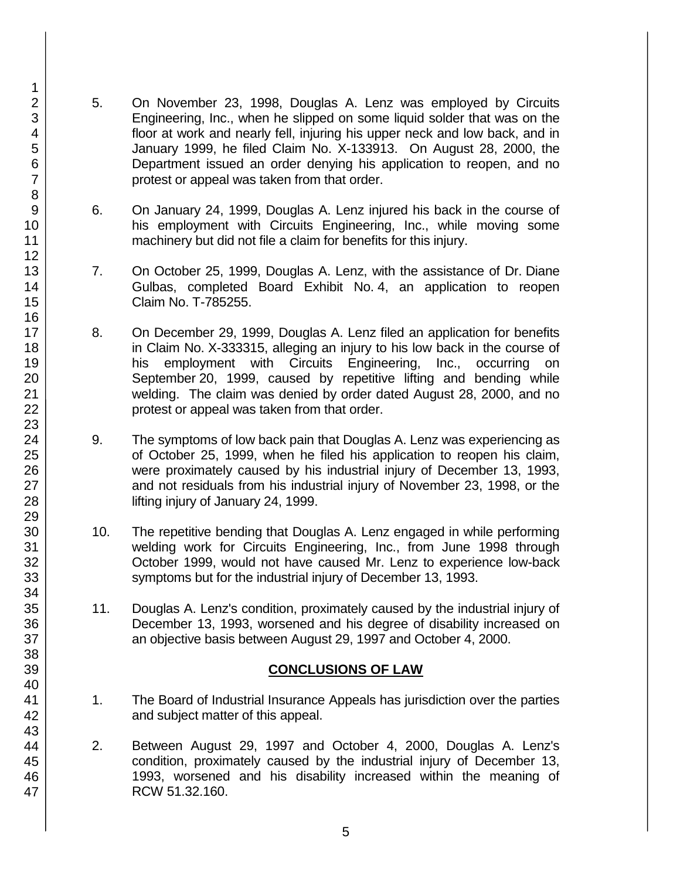- 5. On November 23, 1998, Douglas A. Lenz was employed by Circuits Engineering, Inc., when he slipped on some liquid solder that was on the floor at work and nearly fell, injuring his upper neck and low back, and in January 1999, he filed Claim No. X-133913. On August 28, 2000, the Department issued an order denying his application to reopen, and no protest or appeal was taken from that order.
- 6. On January 24, 1999, Douglas A. Lenz injured his back in the course of his employment with Circuits Engineering, Inc., while moving some machinery but did not file a claim for benefits for this injury.
- 7. On October 25, 1999, Douglas A. Lenz, with the assistance of Dr. Diane Gulbas, completed Board Exhibit No. 4, an application to reopen Claim No. T-785255.
- 8. On December 29, 1999, Douglas A. Lenz filed an application for benefits in Claim No. X-333315, alleging an injury to his low back in the course of his employment with Circuits Engineering, Inc., occurring on September 20, 1999, caused by repetitive lifting and bending while welding. The claim was denied by order dated August 28, 2000, and no protest or appeal was taken from that order.
- 9. The symptoms of low back pain that Douglas A. Lenz was experiencing as of October 25, 1999, when he filed his application to reopen his claim, were proximately caused by his industrial injury of December 13, 1993, and not residuals from his industrial injury of November 23, 1998, or the lifting injury of January 24, 1999.
- 10. The repetitive bending that Douglas A. Lenz engaged in while performing welding work for Circuits Engineering, Inc., from June 1998 through October 1999, would not have caused Mr. Lenz to experience low-back symptoms but for the industrial injury of December 13, 1993.
- 11. Douglas A. Lenz's condition, proximately caused by the industrial injury of December 13, 1993, worsened and his degree of disability increased on an objective basis between August 29, 1997 and October 4, 2000.

#### **CONCLUSIONS OF LAW**

- 1. The Board of Industrial Insurance Appeals has jurisdiction over the parties and subject matter of this appeal.
- 2. Between August 29, 1997 and October 4, 2000, Douglas A. Lenz's condition, proximately caused by the industrial injury of December 13, 1993, worsened and his disability increased within the meaning of RCW 51.32.160.